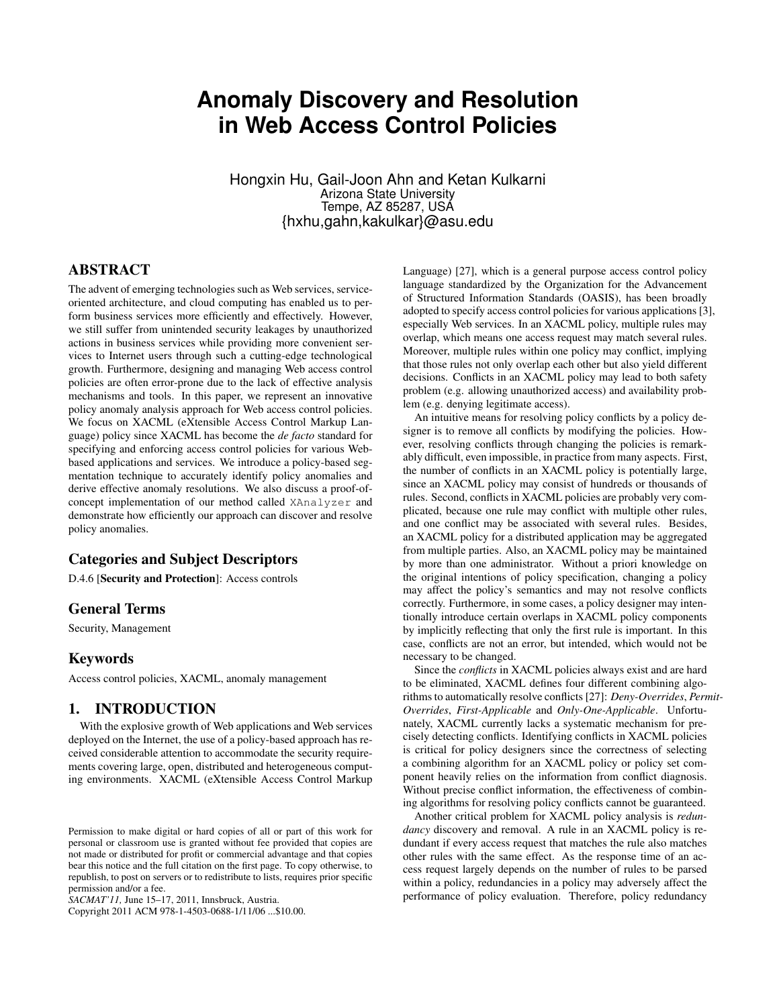# **Anomaly Discovery and Resolution in Web Access Control Policies**

Hongxin Hu, Gail-Joon Ahn and Ketan Kulkarni Arizona State University Tempe, AZ 85287, USA {hxhu,gahn,kakulkar}@asu.edu

# **ABSTRACT**

The advent of emerging technologies such as Web services, serviceoriented architecture, and cloud computing has enabled us to perform business services more efficiently and effectively. However, we still suffer from unintended security leakages by unauthorized actions in business services while providing more convenient services to Internet users through such a cutting-edge technological growth. Furthermore, designing and managing Web access control policies are often error-prone due to the lack of effective analysis mechanisms and tools. In this paper, we represent an innovative policy anomaly analysis approach for Web access control policies. We focus on XACML (eXtensible Access Control Markup Language) policy since XACML has become the *de facto* standard for specifying and enforcing access control policies for various Webbased applications and services. We introduce a policy-based segmentation technique to accurately identify policy anomalies and derive effective anomaly resolutions. We also discuss a proof-ofconcept implementation of our method called XAnalyzer and demonstrate how efficiently our approach can discover and resolve policy anomalies.

# **Categories and Subject Descriptors**

D.4.6 [**Security and Protection**]: Access controls

### **General Terms**

Security, Management

### **Keywords**

Access control policies, XACML, anomaly management

# **1. INTRODUCTION**

With the explosive growth of Web applications and Web services deployed on the Internet, the use of a policy-based approach has received considerable attention to accommodate the security requirements covering large, open, distributed and heterogeneous computing environments. XACML (eXtensible Access Control Markup

Copyright 2011 ACM 978-1-4503-0688-1/11/06 ...\$10.00.

Language) [27], which is a general purpose access control policy language standardized by the Organization for the Advancement of Structured Information Standards (OASIS), has been broadly adopted to specify access control policies for various applications [3], especially Web services. In an XACML policy, multiple rules may overlap, which means one access request may match several rules. Moreover, multiple rules within one policy may conflict, implying that those rules not only overlap each other but also yield different decisions. Conflicts in an XACML policy may lead to both safety problem (e.g. allowing unauthorized access) and availability problem (e.g. denying legitimate access).

An intuitive means for resolving policy conflicts by a policy designer is to remove all conflicts by modifying the policies. However, resolving conflicts through changing the policies is remarkably difficult, even impossible, in practice from many aspects. First, the number of conflicts in an XACML policy is potentially large, since an XACML policy may consist of hundreds or thousands of rules. Second, conflicts in XACML policies are probably very complicated, because one rule may conflict with multiple other rules, and one conflict may be associated with several rules. Besides, an XACML policy for a distributed application may be aggregated from multiple parties. Also, an XACML policy may be maintained by more than one administrator. Without a priori knowledge on the original intentions of policy specification, changing a policy may affect the policy's semantics and may not resolve conflicts correctly. Furthermore, in some cases, a policy designer may intentionally introduce certain overlaps in XACML policy components by implicitly reflecting that only the first rule is important. In this case, conflicts are not an error, but intended, which would not be necessary to be changed.

Since the *conflicts* in XACML policies always exist and are hard to be eliminated, XACML defines four different combining algorithms to automatically resolve conflicts [27]: *Deny-Overrides*, *Permit-Overrides*, *First-Applicable* and *Only-One-Applicable*. Unfortunately, XACML currently lacks a systematic mechanism for precisely detecting conflicts. Identifying conflicts in XACML policies is critical for policy designers since the correctness of selecting a combining algorithm for an XACML policy or policy set component heavily relies on the information from conflict diagnosis. Without precise conflict information, the effectiveness of combining algorithms for resolving policy conflicts cannot be guaranteed.

Another critical problem for XACML policy analysis is *redundancy* discovery and removal. A rule in an XACML policy is redundant if every access request that matches the rule also matches other rules with the same effect. As the response time of an access request largely depends on the number of rules to be parsed within a policy, redundancies in a policy may adversely affect the performance of policy evaluation. Therefore, policy redundancy

Permission to make digital or hard copies of all or part of this work for personal or classroom use is granted without fee provided that copies are not made or distributed for profit or commercial advantage and that copies bear this notice and the full citation on the first page. To copy otherwise, to republish, to post on servers or to redistribute to lists, requires prior specific permission and/or a fee.

*SACMAT'11,* June 15–17, 2011, Innsbruck, Austria.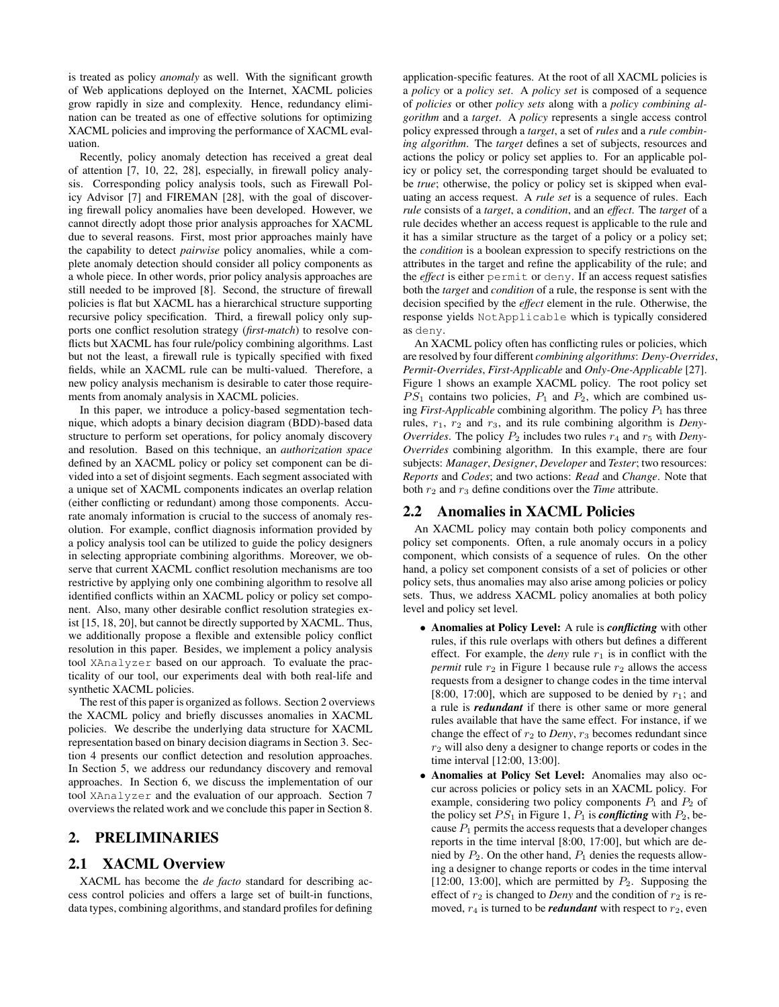is treated as policy *anomaly* as well. With the significant growth of Web applications deployed on the Internet, XACML policies grow rapidly in size and complexity. Hence, redundancy elimination can be treated as one of effective solutions for optimizing XACML policies and improving the performance of XACML evaluation.

Recently, policy anomaly detection has received a great deal of attention [7, 10, 22, 28], especially, in firewall policy analysis. Corresponding policy analysis tools, such as Firewall Policy Advisor [7] and FIREMAN [28], with the goal of discovering firewall policy anomalies have been developed. However, we cannot directly adopt those prior analysis approaches for XACML due to several reasons. First, most prior approaches mainly have the capability to detect *pairwise* policy anomalies, while a complete anomaly detection should consider all policy components as a whole piece. In other words, prior policy analysis approaches are still needed to be improved [8]. Second, the structure of firewall policies is flat but XACML has a hierarchical structure supporting recursive policy specification. Third, a firewall policy only supports one conflict resolution strategy (*first-match*) to resolve conflicts but XACML has four rule/policy combining algorithms. Last but not the least, a firewall rule is typically specified with fixed fields, while an XACML rule can be multi-valued. Therefore, a new policy analysis mechanism is desirable to cater those requirements from anomaly analysis in XACML policies.

In this paper, we introduce a policy-based segmentation technique, which adopts a binary decision diagram (BDD)-based data structure to perform set operations, for policy anomaly discovery and resolution. Based on this technique, an *authorization space* defined by an XACML policy or policy set component can be divided into a set of disjoint segments. Each segment associated with a unique set of XACML components indicates an overlap relation (either conflicting or redundant) among those components. Accurate anomaly information is crucial to the success of anomaly resolution. For example, conflict diagnosis information provided by a policy analysis tool can be utilized to guide the policy designers in selecting appropriate combining algorithms. Moreover, we observe that current XACML conflict resolution mechanisms are too restrictive by applying only one combining algorithm to resolve all identified conflicts within an XACML policy or policy set component. Also, many other desirable conflict resolution strategies exist [15, 18, 20], but cannot be directly supported by XACML. Thus, we additionally propose a flexible and extensible policy conflict resolution in this paper. Besides, we implement a policy analysis tool XAnalyzer based on our approach. To evaluate the practicality of our tool, our experiments deal with both real-life and synthetic XACML policies.

The rest of this paper is organized as follows. Section 2 overviews the XACML policy and briefly discusses anomalies in XACML policies. We describe the underlying data structure for XACML representation based on binary decision diagrams in Section 3. Section 4 presents our conflict detection and resolution approaches. In Section 5, we address our redundancy discovery and removal approaches. In Section 6, we discuss the implementation of our tool XAnalyzer and the evaluation of our approach. Section 7 overviews the related work and we conclude this paper in Section 8.

# **2. PRELIMINARIES**

### **2.1 XACML Overview**

XACML has become the *de facto* standard for describing access control policies and offers a large set of built-in functions, data types, combining algorithms, and standard profiles for defining application-specific features. At the root of all XACML policies is a *policy* or a *policy set*. A *policy set* is composed of a sequence of *policies* or other *policy sets* along with a *policy combining algorithm* and a *target*. A *policy* represents a single access control policy expressed through a *target*, a set of *rules* and a *rule combining algorithm*. The *target* defines a set of subjects, resources and actions the policy or policy set applies to. For an applicable policy or policy set, the corresponding target should be evaluated to be *true*; otherwise, the policy or policy set is skipped when evaluating an access request. A *rule set* is a sequence of rules. Each *rule* consists of a *target*, a *condition*, and an *effect*. The *target* of a rule decides whether an access request is applicable to the rule and it has a similar structure as the target of a policy or a policy set; the *condition* is a boolean expression to specify restrictions on the attributes in the target and refine the applicability of the rule; and the *effect* is either permit or deny. If an access request satisfies both the *target* and *condition* of a rule, the response is sent with the decision specified by the *effect* element in the rule. Otherwise, the response yields NotApplicable which is typically considered as deny.

An XACML policy often has conflicting rules or policies, which are resolved by four different *combining algorithms*: *Deny-Overrides*, *Permit-Overrides*, *First-Applicable* and *Only-One-Applicable* [27]. Figure 1 shows an example XACML policy. The root policy set  $PS<sub>1</sub>$  contains two policies,  $P<sub>1</sub>$  and  $P<sub>2</sub>$ , which are combined using *First-Applicable* combining algorithm. The policy  $P_1$  has three rules,  $r_1$ ,  $r_2$  and  $r_3$ , and its rule combining algorithm is *Deny*-*Overrides*. The policy  $P_2$  includes two rules  $r_4$  and  $r_5$  with *Deny-Overrides* combining algorithm. In this example, there are four subjects: *Manager*, *Designer*, *Developer* and *Tester*; two resources: *Reports* and *Codes*; and two actions: *Read* and *Change*. Note that both r<sup>2</sup> and r<sup>3</sup> define conditions over the *Time* attribute.

### **2.2 Anomalies in XACML Policies**

An XACML policy may contain both policy components and policy set components. Often, a rule anomaly occurs in a policy component, which consists of a sequence of rules. On the other hand, a policy set component consists of a set of policies or other policy sets, thus anomalies may also arise among policies or policy sets. Thus, we address XACML policy anomalies at both policy level and policy set level.

- **Anomalies at Policy Level:** A rule is *conflicting* with other rules, if this rule overlaps with others but defines a different effect. For example, the *deny* rule  $r_1$  is in conflict with the *permit* rule  $r_2$  in Figure 1 because rule  $r_2$  allows the access requests from a designer to change codes in the time interval [8:00, 17:00], which are supposed to be denied by  $r_1$ ; and a rule is *redundant* if there is other same or more general rules available that have the same effect. For instance, if we change the effect of  $r_2$  to *Deny*,  $r_3$  becomes redundant since  $r<sub>2</sub>$  will also deny a designer to change reports or codes in the time interval [12:00, 13:00].
- **Anomalies at Policy Set Level:** Anomalies may also occur across policies or policy sets in an XACML policy. For example, considering two policy components  $P_1$  and  $P_2$  of the policy set  $PS_1$  in Figure 1,  $P_1$  is *conflicting* with  $P_2$ , because  $P_1$  permits the access requests that a developer changes reports in the time interval [8:00, 17:00], but which are denied by  $P_2$ . On the other hand,  $P_1$  denies the requests allowing a designer to change reports or codes in the time interval [12:00, 13:00], which are permitted by  $P_2$ . Supposing the effect of  $r_2$  is changed to *Deny* and the condition of  $r_2$  is removed,  $r_4$  is turned to be *redundant* with respect to  $r_2$ , even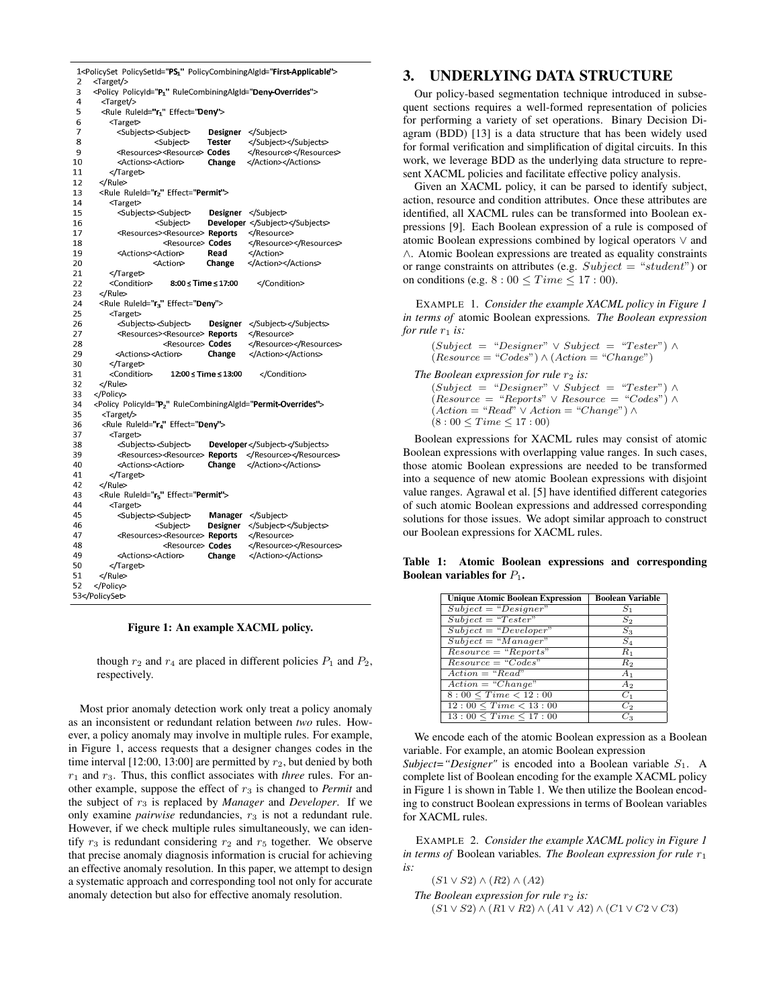```
1<PolicySet PolicySetId="PS," PolicyCombiningAlgId="First-Applicable">
      <Target/>\mathcal{P}<Policy PolicyId="P1" RuleCombiningAlgId="Deny-Overrides">
 \overline{3}\overline{4}<Target/>
        <Rule RuleId="r<sub>1</sub>" Effect="Deny">
 5
 6
          <Target>
 \overline{7}<Subjects><Subject>
                                     Designer
                                               </Subject>
 8
                                                </Subject></Subjects>
                      <Subject>
                                    Tester
            <Resources><Resource> Codes
 \mathbf{q}</Resource></Resource>
                                               </Action></Actions>
10
            <Actions><Action>
                                     Change
          </Target>
11
       </Rule>
12<Rule RuleId="r<sub>2</sub>" Effect="Permit">
13
14
          <Target>
15
                                     Designer </Subject>
            <Subjects><Subject>
                                     Developer </Subject></Subjects>
16
                      <Subject>
                                                </Resource>
17
            <Resources><Resource> Reports
                         <Resource> Codes
                                                </Resource></Resource>
18
19
            <Actions><Action>
                                                </Action>
                                     Read
                                     Change
                                               </Action></Actions>
20<Action>
21</Target>
22
          <Condition>
                          8:00 ≤ Time ≤ 17:00
                                                  </Condition>
       \langleRule>
2324
       <Rule RuleId="ra" Effect="Deny">
25
          <Target>
                                                </Subject></Subjects>
26
            <Subjects><Subject>
                                     Designer
27<Resources><Resource> Reports
                                                </Resource>
28
                         <Resource> Codes
                                                </Resource></Resources>
           <Actions><Action>
                                     Change
                                                </Action></Actions>
29
30
          </Target>
31
          <Condition>
                          12:00 ≤ Time ≤ 13:00
                                                   </Condition>
       </Rule>
32
33
      </Policy>
      <Policy PolicyId="P2" RuleCombiningAlgId="Permit-Overrides">
3435
        <Target/>
        <Rule RuleId="r4" Effect="Deny'>
36
\overline{37}<Target>
38
            <Subiects><Subiect>
                                     Developer</Subject></Subjects>
39
            <Resources><Resource> Reports </Resource></Resources>
40
            <Actions><Action>
                                     Change
                                               </Action></Actions>
41
          </Target>
42
       </Rule>
43
       <Rule RuleId="r<sub>s</sub>" Effect="Permit">
44
          <Target>
45
                                     Manager </Subject>
            <Subjects><Subject>
                                                </Subiect></Subiects>
46
                      <Subject>
                                     Designer
47
            <Resources><Resource> Reports
                                                </Resource>
                                                </Resource></Resources>
48
                         <Resource> Codes
49
            <Actions><Action>
                                     Change
                                                </Action></Actions>
50
          </Target>
51
       </Rule>
52
     </Policv>
53</PolicySet>
```
**Figure 1: An example XACML policy.**

though  $r_2$  and  $r_4$  are placed in different policies  $P_1$  and  $P_2$ , respectively.

Most prior anomaly detection work only treat a policy anomaly as an inconsistent or redundant relation between *two* rules. However, a policy anomaly may involve in multiple rules. For example, in Figure 1, access requests that a designer changes codes in the time interval [12:00, 13:00] are permitted by  $r_2$ , but denied by both  $r_1$  and  $r_3$ . Thus, this conflict associates with *three* rules. For another example, suppose the effect of  $r_3$  is changed to *Permit* and the subject of r<sup>3</sup> is replaced by *Manager* and *Developer*. If we only examine *pairwise* redundancies,  $r_3$  is not a redundant rule. However, if we check multiple rules simultaneously, we can identify  $r_3$  is redundant considering  $r_2$  and  $r_5$  together. We observe that precise anomaly diagnosis information is crucial for achieving an effective anomaly resolution. In this paper, we attempt to design a systematic approach and corresponding tool not only for accurate anomaly detection but also for effective anomaly resolution.

# **3. UNDERLYING DATA STRUCTURE**

Our policy-based segmentation technique introduced in subsequent sections requires a well-formed representation of policies for performing a variety of set operations. Binary Decision Diagram (BDD) [13] is a data structure that has been widely used for formal verification and simplification of digital circuits. In this work, we leverage BDD as the underlying data structure to represent XACML policies and facilitate effective policy analysis.

Given an XACML policy, it can be parsed to identify subject, action, resource and condition attributes. Once these attributes are identified, all XACML rules can be transformed into Boolean expressions [9]. Each Boolean expression of a rule is composed of atomic Boolean expressions combined by logical operators ∨ and ∧. Atomic Boolean expressions are treated as equality constraints or range constraints on attributes (e.g.  $Subject = "student")$  or on conditions (e.g.  $8:00 \leq Time \leq 17:00$ ).

EXAMPLE 1. *Consider the example XACML policy in Figure 1 in terms of* atomic Boolean expressions*. The Boolean expression for rule*  $r_1$  *is:* 

 $(Subject = "Designer" \vee Subject = "Tester") \wedge$  $(Resource = "Codes") \wedge (Action = "Change")$ 

*The Boolean expression for rule*  $r_2$  *is:* 

 $(Subject = "Designer" \vee Subject = "Tester") \wedge$  $(Resource = "Reports" \vee Resource = "Codes") \wedge$  $(Action = "Read" \vee Action = "Change") \wedge$  $(8:00 \leq Time \leq 17:00)$ 

Boolean expressions for XACML rules may consist of atomic Boolean expressions with overlapping value ranges. In such cases, those atomic Boolean expressions are needed to be transformed into a sequence of new atomic Boolean expressions with disjoint value ranges. Agrawal et al. [5] have identified different categories of such atomic Boolean expressions and addressed corresponding solutions for those issues. We adopt similar approach to construct our Boolean expressions for XACML rules.

**Table 1: Atomic Boolean expressions and corresponding Boolean variables for**  $P_1$ **.** 

| <b>Unique Atomic Boolean Expression</b> | Boolean Variable |
|-----------------------------------------|------------------|
| $Subject = "Designer"$                  | $S_1$            |
| $Subject = "Tester"$                    | $S_2$            |
| $Subject = "Developer"$                 | $S_3$            |
| $Subject = "Management"$                | $S_4$            |
| $Resource = "Reports"$                  | $R_1$            |
| $Resource = "Codes"$                    | $R_{2}$          |
| $Action = "Read"$                       | $A_1$            |
| $Action = "Change"$                     | A <sub>2</sub>   |
| $8:00 \leq Time \leq 12:00$             | $C_1$            |
| $12:00 \leq Time \leq 13:00$            | $C_2$            |
| $13:00 \leq Time \leq 17:00$            | €2               |

We encode each of the atomic Boolean expression as a Boolean variable. For example, an atomic Boolean expression

*Subject="Designer"* is encoded into a Boolean variable  $S_1$ . A complete list of Boolean encoding for the example XACML policy in Figure 1 is shown in Table 1. We then utilize the Boolean encoding to construct Boolean expressions in terms of Boolean variables for XACML rules.

EXAMPLE 2. *Consider the example XACML policy in Figure 1 in terms of* Boolean variables. The Boolean expression for rule  $r_1$ *is:*

 $(S1 \vee S2) \wedge (R2) \wedge (A2)$ 

*The Boolean expression for rule*  $r_2$  *is:*  $(S1 \vee S2) \wedge (R1 \vee R2) \wedge (A1 \vee A2) \wedge (C1 \vee C2 \vee C3)$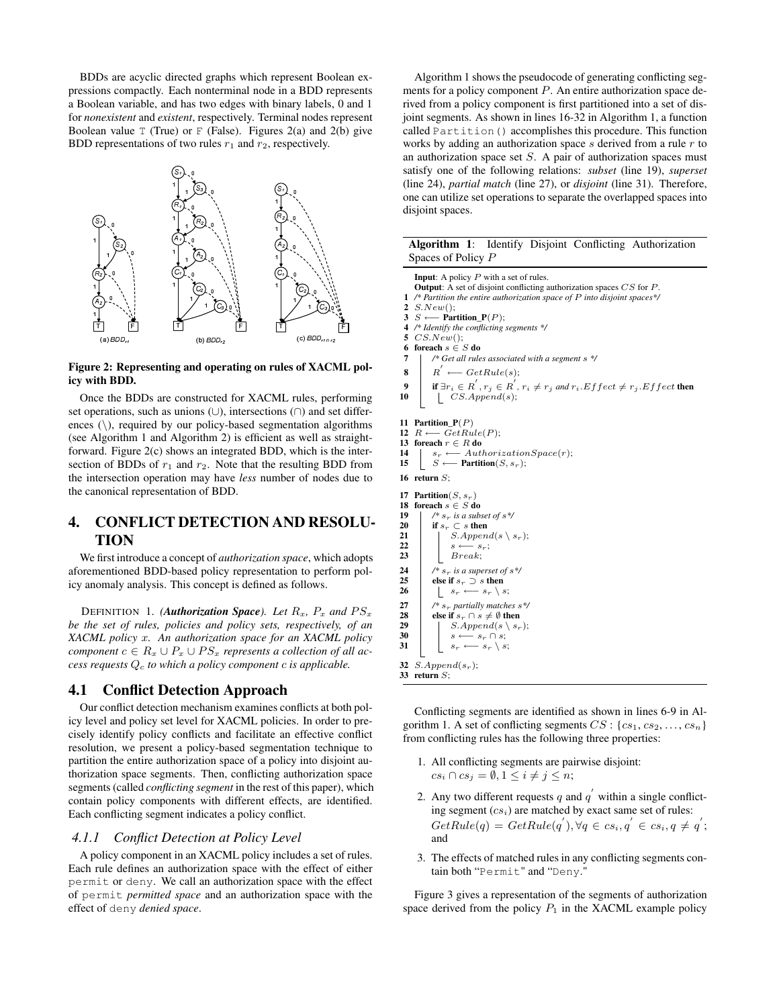BDDs are acyclic directed graphs which represent Boolean expressions compactly. Each nonterminal node in a BDD represents a Boolean variable, and has two edges with binary labels, 0 and 1 for *nonexistent* and *existent*, respectively. Terminal nodes represent Boolean value  $T$  (True) or  $F$  (False). Figures 2(a) and 2(b) give BDD representations of two rules  $r_1$  and  $r_2$ , respectively.



#### **Figure 2: Representing and operating on rules of XACML policy with BDD.**

Once the BDDs are constructed for XACML rules, performing set operations, such as unions (∪), intersections (∩) and set differences  $(\cdot)$ , required by our policy-based segmentation algorithms (see Algorithm 1 and Algorithm 2) is efficient as well as straightforward. Figure 2(c) shows an integrated BDD, which is the intersection of BDDs of  $r_1$  and  $r_2$ . Note that the resulting BDD from the intersection operation may have *less* number of nodes due to the canonical representation of BDD.

# **4. CONFLICT DETECTION AND RESOLU-TION**

We first introduce a concept of *authorization space*, which adopts aforementioned BDD-based policy representation to perform policy anomaly analysis. This concept is defined as follows.

**DEFINITION 1.** *(Authorization Space). Let*  $R_x$ ,  $P_x$  *and*  $PS_x$ *be the set of rules, policies and policy sets, respectively, of an XACML policy* x*. An authorization space for an XACML policy component*  $c \in R_x \cup P_x \cup PS_x$  *represents a collection of all access requests*  $Q_c$  *to which a policy component c is applicable.* 

### **4.1 Conflict Detection Approach**

Our conflict detection mechanism examines conflicts at both policy level and policy set level for XACML policies. In order to precisely identify policy conflicts and facilitate an effective conflict resolution, we present a policy-based segmentation technique to partition the entire authorization space of a policy into disjoint authorization space segments. Then, conflicting authorization space segments (called *conflicting segment* in the rest of this paper), which contain policy components with different effects, are identified. Each conflicting segment indicates a policy conflict.

#### *4.1.1 Conflict Detection at Policy Level*

A policy component in an XACML policy includes a set of rules. Each rule defines an authorization space with the effect of either permit or deny. We call an authorization space with the effect of permit *permitted space* and an authorization space with the effect of deny *denied space*.

Algorithm 1 shows the pseudocode of generating conflicting segments for a policy component P. An entire authorization space derived from a policy component is first partitioned into a set of disjoint segments. As shown in lines 16-32 in Algorithm 1, a function called Partition() accomplishes this procedure. This function works by adding an authorization space s derived from a rule  $r$  to an authorization space set  $S$ . A pair of authorization spaces must satisfy one of the following relations: *subset* (line 19), *superset* (line 24), *partial match* (line 27), or *disjoint* (line 31). Therefore, one can utilize set operations to separate the overlapped spaces into disjoint spaces.

#### **Algorithm 1**: Identify Disjoint Conflicting Authorization Spaces of Policy P

**Input**: A policy P with a set of rules.

- **Output:** A set of disjoint conflicting authorization spaces CS for P.
- **1** */\* Partition the entire authorization space of* P *into disjoint spaces\*/*
- 2  $S. New();$ <br>3  $S \leftarrow Par$
- **3**  $S \leftarrow \textbf{Partition\_P}(P);$ <br>**4** /\* *Identify the conflicting* **4** */\* Identify the conflicting segments \*/*
- 
- **5** CS.New();<br>**6** foreach  $s \in \mathcal{S}$  $$
- **7** */\* Get all rules associated with a segment* s *\*/*
- $\mathbf{8}$   $\begin{array}{|c|c|c|c|} \hline \mathbf{8}^{\prime} & \longleftarrow GetRule(s); \hline \end{array}$
- 
- **if**  $\exists r_i \in R', r_j \in R', r_i \neq r_j$  and  $r_i.Effect \neq r_j.Effect$  then **10** CS.Append(s);
- **11 Partition\_P**(P )
- **12**  $R \leftarrow GetRule(P)$ ;
- **13 foreach** r ∈ R **do**
- **14**  $s_r \leftarrow$  *AuthorizationSpace(r)*;  
**15** *S*  $\leftarrow$  **Partition**(*S*, *s\_r*);
- $-$  **Partition** $(S, s_r);$

```
16 return S;
```

```
17 Partition(S, s_r)18 foreach s \in S do<br>19 d \qquad f s_n is a sub
                     1<sup>*</sup> s_r is a subset of s<sup>*</sup>/
20 if s_r \subset s then<br>21 i S.Appen
21 \begin{array}{|c|c|c|c|} \hline & S. Append(s \setminus s_r); \ \hline & s \longleftarrow s_r; \hline \end{array}\begin{array}{c|c}\n\textbf{22} & s \leftarrow s_r; \\
\textbf{23} & Break;\n\end{array}23 Break;
24 \begin{array}{l} \n\mathbf{25} \quad \text{else if } s_r \text{ is a superset of } s^*\text{/} \\
\text{else if } s_r \supset s \text{ then}\n\end{array}25 else if sr ⊃ s then
                        s_r \longleftarrow s_r \setminus s;27 \begin{array}{l} \n\mathbf{27} \quad \times \quad s_r \text{ partially matches } s^* \n\end{array}<br>
28 else if s_r \cap s \neq \emptyset then
28 else if s_r \cap s \neq \emptyset then<br>29 else if s_r \cap s \neq \emptyset then
29 S.Append(s \ s<sub>r</sub>);<br>30 S. \leftarrow s<sub>r</sub> \cap s<sup>r</sup>
                                s \longleftarrow s_r \cap s;31 s_r \leftarrow s_r \setminus s;32 S. Append(s_r);
```
**33 return** S;

Conflicting segments are identified as shown in lines 6-9 in Algorithm 1. A set of conflicting segments  $CS$ : { $cs_1, cs_2, ..., cs_n$ } from conflicting rules has the following three properties:

- 1. All conflicting segments are pairwise disjoint:  $cs_i \cap cs_j = \emptyset, 1 \leq i \neq j \leq n;$
- 2. Any two different requests q and  $q'$  within a single conflicting segment  $(c s_i)$  are matched by exact same set of rules:  $GetRule(q) = GetRule(q'), \forall q \in cs_i, q' \in cs_i, q \neq q';$ and
- 3. The effects of matched rules in any conflicting segments contain both "Permit" and "Deny."

Figure 3 gives a representation of the segments of authorization space derived from the policy  $P_1$  in the XACML example policy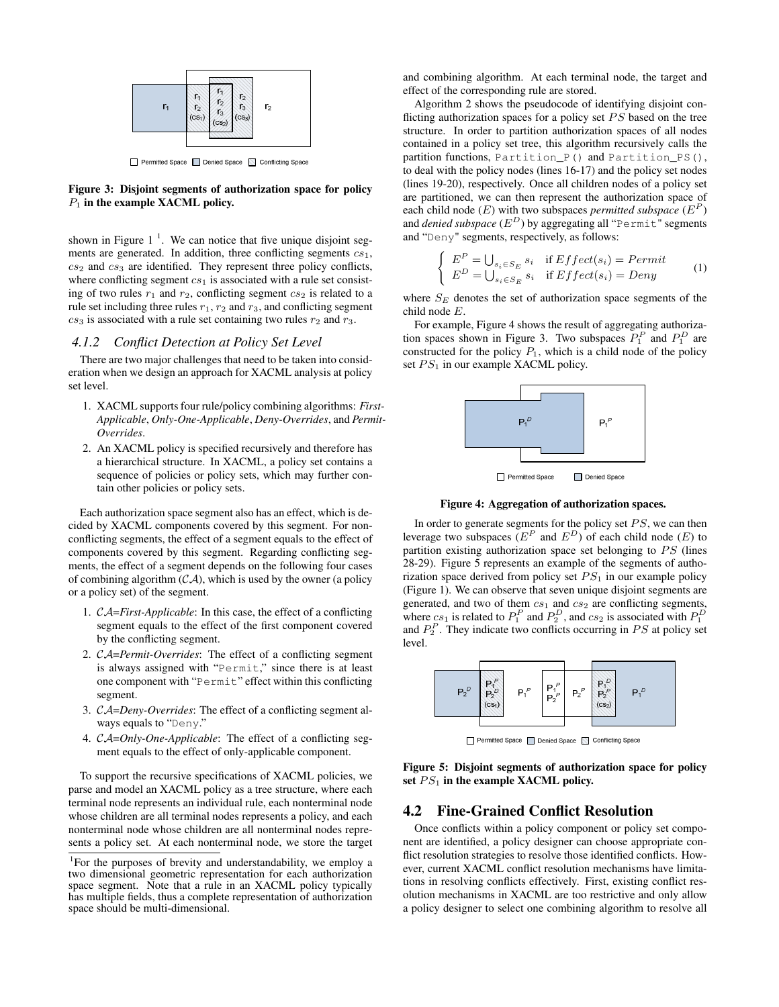

Permitted Space Denied Space Conflicting Space

#### **Figure 3: Disjoint segments of authorization space for policy** P<sup>1</sup> **in the example XACML policy.**

shown in Figure  $1<sup>1</sup>$ . We can notice that five unique disjoint segments are generated. In addition, three conflicting segments  $cs<sub>1</sub>$ ,  $cs<sub>2</sub>$  and  $cs<sub>3</sub>$  are identified. They represent three policy conflicts, where conflicting segment  $cs_1$  is associated with a rule set consisting of two rules  $r_1$  and  $r_2$ , conflicting segment  $cs_2$  is related to a rule set including three rules  $r_1$ ,  $r_2$  and  $r_3$ , and conflicting segment  $cs_3$  is associated with a rule set containing two rules  $r_2$  and  $r_3$ .

#### *4.1.2 Conflict Detection at Policy Set Level*

There are two major challenges that need to be taken into consideration when we design an approach for XACML analysis at policy set level.

- 1. XACML supports four rule/policy combining algorithms: *First-Applicable*, *Only-One-Applicable*, *Deny-Overrides*, and *Permit-Overrides*.
- 2. An XACML policy is specified recursively and therefore has a hierarchical structure. In XACML, a policy set contains a sequence of policies or policy sets, which may further contain other policies or policy sets.

Each authorization space segment also has an effect, which is decided by XACML components covered by this segment. For nonconflicting segments, the effect of a segment equals to the effect of components covered by this segment. Regarding conflicting segments, the effect of a segment depends on the following four cases of combining algorithm  $(CA)$ , which is used by the owner (a policy or a policy set) of the segment.

- 1. CA=*First-Applicable*: In this case, the effect of a conflicting segment equals to the effect of the first component covered by the conflicting segment.
- 2. CA=*Permit-Overrides*: The effect of a conflicting segment is always assigned with "Permit," since there is at least one component with "Permit" effect within this conflicting segment.
- 3. CA=*Deny-Overrides*: The effect of a conflicting segment always equals to "Deny."
- 4. CA=*Only-One-Applicable*: The effect of a conflicting segment equals to the effect of only-applicable component.

To support the recursive specifications of XACML policies, we parse and model an XACML policy as a tree structure, where each terminal node represents an individual rule, each nonterminal node whose children are all terminal nodes represents a policy, and each nonterminal node whose children are all nonterminal nodes represents a policy set. At each nonterminal node, we store the target

and combining algorithm. At each terminal node, the target and effect of the corresponding rule are stored.

Algorithm 2 shows the pseudocode of identifying disjoint conflicting authorization spaces for a policy set  $PS$  based on the tree structure. In order to partition authorization spaces of all nodes contained in a policy set tree, this algorithm recursively calls the partition functions, Partition\_P() and Partition\_PS(), to deal with the policy nodes (lines 16-17) and the policy set nodes (lines 19-20), respectively. Once all children nodes of a policy set are partitioned, we can then represent the authorization space of each child node  $(E)$  with two subspaces *permitted subspace*  $(E^P)$ and *denied subspace* (E <sup>D</sup>) by aggregating all "Permit" segments and "Deny" segments, respectively, as follows:

$$
\begin{cases}\nE^P = \bigcup_{s_i \in S_E} s_i & \text{if } Effect(s_i) = Permit \\
E^D = \bigcup_{s_i \in S_E} s_i & \text{if } Effect(s_i) = Deny\n\end{cases} \tag{1}
$$

where  $S_E$  denotes the set of authorization space segments of the child node E.

For example, Figure 4 shows the result of aggregating authorization spaces shown in Figure 3. Two subspaces  $P_1^P$  and  $P_1^D$  are constructed for the policy  $P_1$ , which is a child node of the policy set  $PS_1$  in our example XACML policy.



**Figure 4: Aggregation of authorization spaces.**

In order to generate segments for the policy set  $PS$ , we can then leverage two subspaces  $(E^P \text{ and } E^D)$  of each child node  $(E)$  to partition existing authorization space set belonging to PS (lines 28-29). Figure 5 represents an example of the segments of authorization space derived from policy set  $PS_1$  in our example policy (Figure 1). We can observe that seven unique disjoint segments are generated, and two of them  $cs_1$  and  $cs_2$  are conflicting segments, where  $cs_1$  is related to  $P_1^P$  and  $P_2^D$ , and  $cs_2$  is associated with  $P_1^D$ and  $P_2^P$ . They indicate two conflicts occurring in  $PS$  at policy set level.



Permitted Space | Denied Space | Conflicting Space

**Figure 5: Disjoint segments of authorization space for policy set** PS<sup>1</sup> **in the example XACML policy.**

# **4.2 Fine-Grained Conflict Resolution**

Once conflicts within a policy component or policy set component are identified, a policy designer can choose appropriate conflict resolution strategies to resolve those identified conflicts. However, current XACML conflict resolution mechanisms have limitations in resolving conflicts effectively. First, existing conflict resolution mechanisms in XACML are too restrictive and only allow a policy designer to select one combining algorithm to resolve all

<sup>&</sup>lt;sup>1</sup>For the purposes of brevity and understandability, we employ a two dimensional geometric representation for each authorization space segment. Note that a rule in an XACML policy typically has multiple fields, thus a complete representation of authorization space should be multi-dimensional.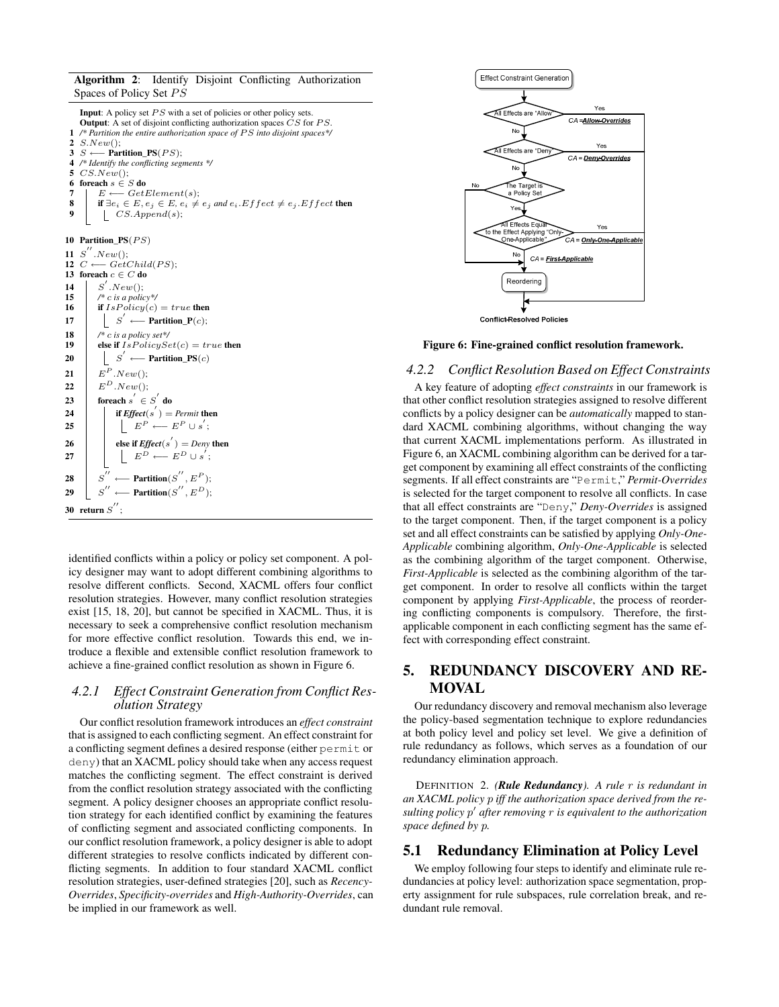**Algorithm 2**: Identify Disjoint Conflicting Authorization Spaces of Policy Set PS

**Input**: A policy set PS with a set of policies or other policy sets. **Output**: A set of disjoint conflicting authorization spaces CS for PS. */\* Partition the entire authorization space of* PS *into disjoint spaces\*/* **2** S.New(); S ←− **Partition\_PS**(PS); */\* Identify the conflicting segments \*/* CS.New(); **foreach**  $s \in S$  **do**<br>**7**  $\vdash E \leftarrow Get$  $E \longleftarrow GetElement(s);$  **if**  $\exists e_i \in E, e_j \in E, e_i \neq e_j$  and  $e_i.Effect \neq e_j.Effect$  **then**<br>**9 i** CS Amend(s): CS.Append(s); **Partition\_PS**(PS)  $S^{''}.New$  ();  $C$  ←  $G$ etChild(PS);<br>**13** foreach  $c \in C$  do **foreach**  $c \in C$  **do**  |  $S'$ . $New()$ ; /\* c is a policy\*/<br>**16 if**  $Is Policy(c)$ **if**  $IsPolicy(c) = true$  **then**  $\begin{array}{ccc} \n\mathbf{17} & | & S' \longleftarrow \mathbf{Partition\_P}(c); \n\end{array}$  */\** c *is a policy set\*/* **else if**  $IsPolicySet(c) = true$  **then**   $\begin{bmatrix} S' \leftarrow P$ **Partition\_PS**(*c*)  $E^P.New();$  $22 \quad \big| \quad E^D. New();$ **foreach**  $s' \in S'$  **do**   $\begin{pmatrix} 1 & 1 & 1 \\ 1 & 1 & 1 \end{pmatrix}$  **if** *Effect*(s') = *Permit* **then**  $\begin{array}{|c|c|c|c|c|} \hline \end{array}$   $E^P \leftarrow E^P \cup s$ ;  $\qquad$  **else if** *Effect*(s') = *Deny* **then**  $\left| \begin{array}{c} \end{array} \right|$   $E^D \leftarrow E^D \cup s$ ;  $\boldsymbol{S}^{\prime\prime}$  $28 \quad | \quad S'' \longleftarrow \textbf{Partition}(S'', E^P);$  $\boldsymbol{S}^{\prime\prime}$   $S'' \leftarrow$  **Partition** $(S'', E^D);$ return  $S''$ ;

identified conflicts within a policy or policy set component. A policy designer may want to adopt different combining algorithms to resolve different conflicts. Second, XACML offers four conflict resolution strategies. However, many conflict resolution strategies exist [15, 18, 20], but cannot be specified in XACML. Thus, it is necessary to seek a comprehensive conflict resolution mechanism for more effective conflict resolution. Towards this end, we introduce a flexible and extensible conflict resolution framework to achieve a fine-grained conflict resolution as shown in Figure 6.

### *4.2.1 Effect Constraint Generation from Conflict Resolution Strategy*

Our conflict resolution framework introduces an *effect constraint* that is assigned to each conflicting segment. An effect constraint for a conflicting segment defines a desired response (either permit or deny) that an XACML policy should take when any access request matches the conflicting segment. The effect constraint is derived from the conflict resolution strategy associated with the conflicting segment. A policy designer chooses an appropriate conflict resolution strategy for each identified conflict by examining the features of conflicting segment and associated conflicting components. In our conflict resolution framework, a policy designer is able to adopt different strategies to resolve conflicts indicated by different conflicting segments. In addition to four standard XACML conflict resolution strategies, user-defined strategies [20], such as *Recency-Overrides*, *Specificity-overrides* and *High-Authority-Overrides*, can be implied in our framework as well.



**Figure 6: Fine-grained conflict resolution framework.**

#### *4.2.2 Conflict Resolution Based on Effect Constraints*

A key feature of adopting *effect constraints* in our framework is that other conflict resolution strategies assigned to resolve different conflicts by a policy designer can be *automatically* mapped to standard XACML combining algorithms, without changing the way that current XACML implementations perform. As illustrated in Figure 6, an XACML combining algorithm can be derived for a target component by examining all effect constraints of the conflicting segments. If all effect constraints are "Permit," *Permit-Overrides* is selected for the target component to resolve all conflicts. In case that all effect constraints are "Deny," *Deny-Overrides* is assigned to the target component. Then, if the target component is a policy set and all effect constraints can be satisfied by applying *Only-One-Applicable* combining algorithm, *Only-One-Applicable* is selected as the combining algorithm of the target component. Otherwise, *First-Applicable* is selected as the combining algorithm of the target component. In order to resolve all conflicts within the target component by applying *First-Applicable*, the process of reordering conflicting components is compulsory. Therefore, the firstapplicable component in each conflicting segment has the same effect with corresponding effect constraint.

# **5. REDUNDANCY DISCOVERY AND RE-MOVAL**

Our redundancy discovery and removal mechanism also leverage the policy-based segmentation technique to explore redundancies at both policy level and policy set level. We give a definition of rule redundancy as follows, which serves as a foundation of our redundancy elimination approach.

DEFINITION 2. *(Rule Redundancy). A rule* r *is redundant in an XACML policy* p *iff the authorization space derived from the resulting policy* p ′ *after removing* r *is equivalent to the authorization space defined by* p*.*

# **5.1 Redundancy Elimination at Policy Level**

We employ following four steps to identify and eliminate rule redundancies at policy level: authorization space segmentation, property assignment for rule subspaces, rule correlation break, and redundant rule removal.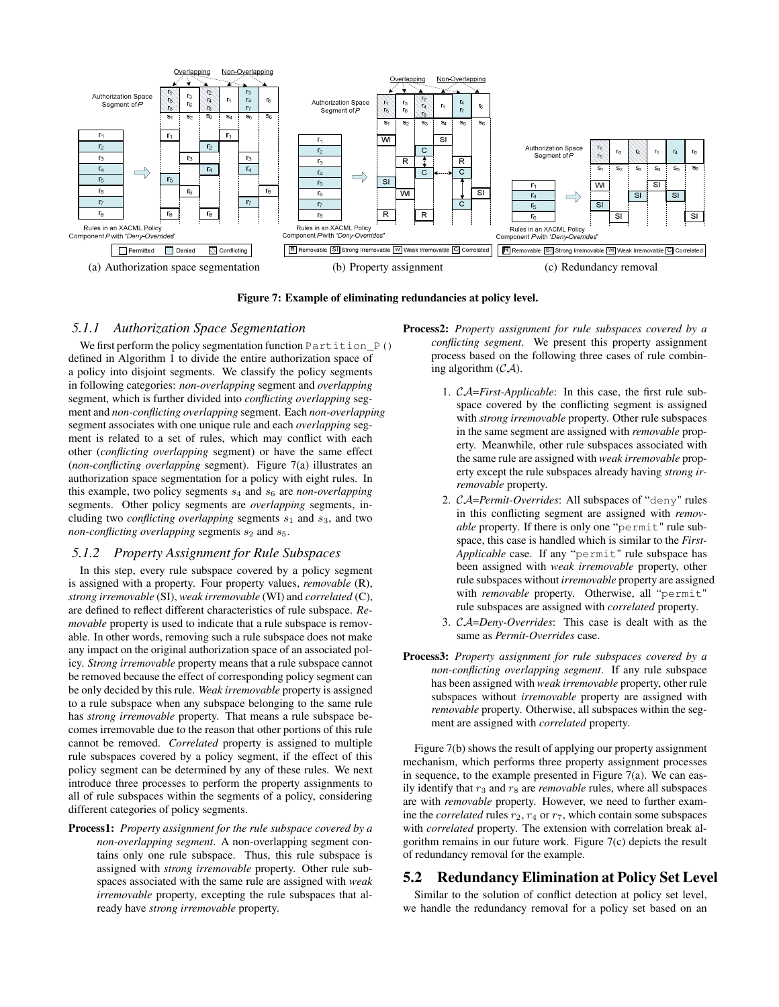

**Figure 7: Example of eliminating redundancies at policy level.**

#### *5.1.1 Authorization Space Segmentation*

We first perform the policy segmentation function Partition P() defined in Algorithm 1 to divide the entire authorization space of a policy into disjoint segments. We classify the policy segments in following categories: *non-overlapping* segment and *overlapping* segment, which is further divided into *conflicting overlapping* segment and *non-conflicting overlapping* segment. Each *non-overlapping* segment associates with one unique rule and each *overlapping* segment is related to a set of rules, which may conflict with each other (*conflicting overlapping* segment) or have the same effect (*non-conflicting overlapping* segment). Figure 7(a) illustrates an authorization space segmentation for a policy with eight rules. In this example, two policy segments  $s_4$  and  $s_6$  are *non-overlapping* segments. Other policy segments are *overlapping* segments, including two *conflicting overlapping* segments  $s_1$  and  $s_3$ , and two *non-conflicting overlapping* segments  $s_2$  and  $s_5$ .

#### *5.1.2 Property Assignment for Rule Subspaces*

In this step, every rule subspace covered by a policy segment is assigned with a property. Four property values, *removable* (R), *strong irremovable* (SI), *weak irremovable* (WI) and *correlated* (C), are defined to reflect different characteristics of rule subspace. *Removable* property is used to indicate that a rule subspace is removable. In other words, removing such a rule subspace does not make any impact on the original authorization space of an associated policy. *Strong irremovable* property means that a rule subspace cannot be removed because the effect of corresponding policy segment can be only decided by this rule. *Weak irremovable* property is assigned to a rule subspace when any subspace belonging to the same rule has *strong irremovable* property. That means a rule subspace becomes irremovable due to the reason that other portions of this rule cannot be removed. *Correlated* property is assigned to multiple rule subspaces covered by a policy segment, if the effect of this policy segment can be determined by any of these rules. We next introduce three processes to perform the property assignments to all of rule subspaces within the segments of a policy, considering different categories of policy segments.

**Process1:** *Property assignment for the rule subspace covered by a non-overlapping segment*. A non-overlapping segment contains only one rule subspace. Thus, this rule subspace is assigned with *strong irremovable* property. Other rule subspaces associated with the same rule are assigned with *weak irremovable* property, excepting the rule subspaces that already have *strong irremovable* property.

- **Process2:** *Property assignment for rule subspaces covered by a conflicting segment*. We present this property assignment process based on the following three cases of rule combining algorithm  $(CA)$ .
	- 1. CA=*First-Applicable*: In this case, the first rule subspace covered by the conflicting segment is assigned with *strong irremovable* property. Other rule subspaces in the same segment are assigned with *removable* property. Meanwhile, other rule subspaces associated with the same rule are assigned with *weak irremovable* property except the rule subspaces already having *strong irremovable* property.
	- 2. CA=*Permit-Overrides*: All subspaces of "deny" rules in this conflicting segment are assigned with *removable* property. If there is only one "permit" rule subspace, this case is handled which is similar to the *First-Applicable* case. If any "permit" rule subspace has been assigned with *weak irremovable* property, other rule subspaces without *irremovable* property are assigned with *removable* property. Otherwise, all "permit' rule subspaces are assigned with *correlated* property.
	- 3. CA=*Deny-Overrides*: This case is dealt with as the same as *Permit-Overrides* case.
- **Process3:** *Property assignment for rule subspaces covered by a non-conflicting overlapping segment*. If any rule subspace has been assigned with *weak irremovable* property, other rule subspaces without *irremovable* property are assigned with *removable* property. Otherwise, all subspaces within the segment are assigned with *correlated* property.

Figure 7(b) shows the result of applying our property assignment mechanism, which performs three property assignment processes in sequence, to the example presented in Figure  $7(a)$ . We can easily identify that  $r_3$  and  $r_8$  are *removable* rules, where all subspaces are with *removable* property. However, we need to further examine the *correlated* rules  $r_2$ ,  $r_4$  or  $r_7$ , which contain some subspaces with *correlated* property. The extension with correlation break algorithm remains in our future work. Figure 7(c) depicts the result of redundancy removal for the example.

# **5.2 Redundancy Elimination at Policy Set Level**

Similar to the solution of conflict detection at policy set level, we handle the redundancy removal for a policy set based on an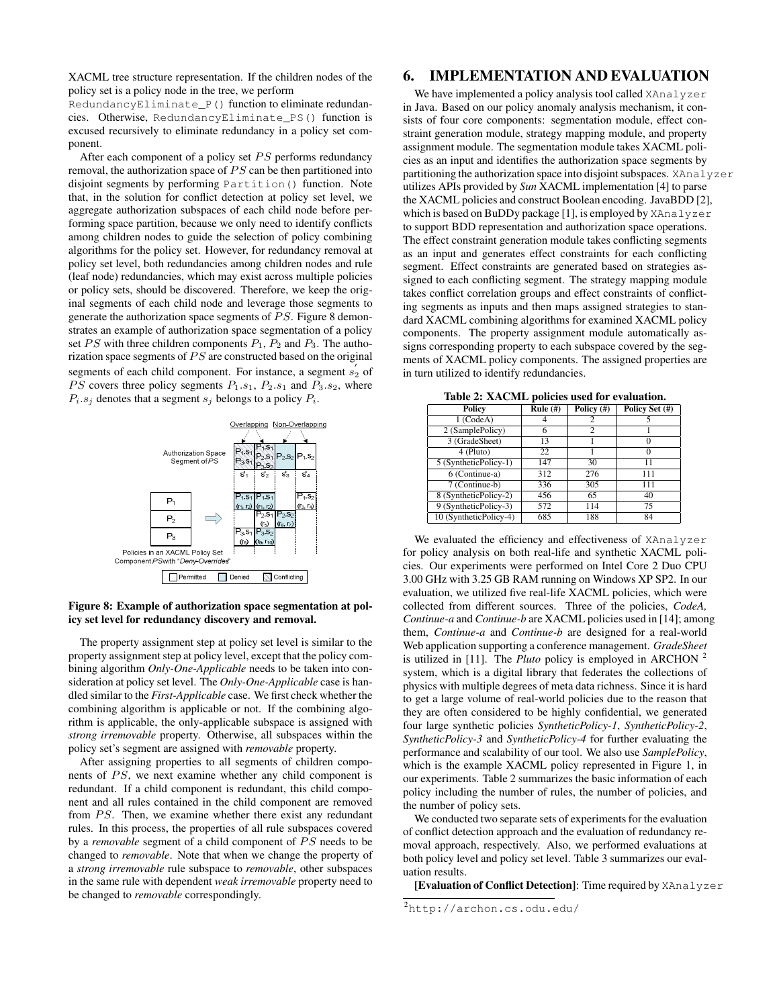XACML tree structure representation. If the children nodes of the policy set is a policy node in the tree, we perform

RedundancyEliminate\_P() function to eliminate redundancies. Otherwise, RedundancyEliminate\_PS() function is excused recursively to eliminate redundancy in a policy set component.

After each component of a policy set PS performs redundancy removal, the authorization space of PS can be then partitioned into disjoint segments by performing Partition() function. Note that, in the solution for conflict detection at policy set level, we aggregate authorization subspaces of each child node before performing space partition, because we only need to identify conflicts among children nodes to guide the selection of policy combining algorithms for the policy set. However, for redundancy removal at policy set level, both redundancies among children nodes and rule (leaf node) redundancies, which may exist across multiple policies or policy sets, should be discovered. Therefore, we keep the original segments of each child node and leverage those segments to generate the authorization space segments of PS. Figure 8 demonstrates an example of authorization space segmentation of a policy set  $PS$  with three children components  $P_1$ ,  $P_2$  and  $P_3$ . The authorization space segments of PS are constructed based on the original segments of each child component. For instance, a segment  $s_2$  of *PS* covers three policy segments  $P_1.s_1, P_2.s_1$  and  $P_3.s_2$ , where  $P_i.s_j$  denotes that a segment  $s_j$  belongs to a policy  $P_i$ .



**Figure 8: Example of authorization space segmentation at policy set level for redundancy discovery and removal.**

The property assignment step at policy set level is similar to the property assignment step at policy level, except that the policy combining algorithm *Only-One-Applicable* needs to be taken into consideration at policy set level. The *Only-One-Applicable* case is handled similar to the *First-Applicable* case. We first check whether the combining algorithm is applicable or not. If the combining algorithm is applicable, the only-applicable subspace is assigned with *strong irremovable* property. Otherwise, all subspaces within the policy set's segment are assigned with *removable* property.

After assigning properties to all segments of children components of PS, we next examine whether any child component is redundant. If a child component is redundant, this child component and all rules contained in the child component are removed from PS. Then, we examine whether there exist any redundant rules. In this process, the properties of all rule subspaces covered by a *removable* segment of a child component of PS needs to be changed to *removable*. Note that when we change the property of a *strong irremovable* rule subspace to *removable*, other subspaces in the same rule with dependent *weak irremovable* property need to be changed to *removable* correspondingly.

### **6. IMPLEMENTATION AND EVALUATION**

We have implemented a policy analysis tool called XAnalyzer in Java. Based on our policy anomaly analysis mechanism, it consists of four core components: segmentation module, effect constraint generation module, strategy mapping module, and property assignment module. The segmentation module takes XACML policies as an input and identifies the authorization space segments by partitioning the authorization space into disjoint subspaces. XAnalyzer utilizes APIs provided by *Sun* XACML implementation [4] to parse the XACML policies and construct Boolean encoding. JavaBDD [2], which is based on BuDDy package [1], is employed by XAnalyzer to support BDD representation and authorization space operations. The effect constraint generation module takes conflicting segments as an input and generates effect constraints for each conflicting segment. Effect constraints are generated based on strategies assigned to each conflicting segment. The strategy mapping module takes conflict correlation groups and effect constraints of conflicting segments as inputs and then maps assigned strategies to standard XACML combining algorithms for examined XACML policy components. The property assignment module automatically assigns corresponding property to each subspace covered by the segments of XACML policy components. The assigned properties are in turn utilized to identify redundancies.

| Table 2. AACINIL policies used for evaluation. |                              |            |                |  |  |  |  |  |
|------------------------------------------------|------------------------------|------------|----------------|--|--|--|--|--|
| <b>Policy</b>                                  | $\overline{\text{Rule}}(\#)$ | Policy (#) | Policy Set (#) |  |  |  |  |  |
| 1 (CodeA)                                      |                              | 2          |                |  |  |  |  |  |
| 2 (SamplePolicy)                               | 6                            | 2          |                |  |  |  |  |  |
| 3 (GradeSheet)                                 | 13                           |            |                |  |  |  |  |  |
| 4 (Pluto)                                      | 22                           |            |                |  |  |  |  |  |
| 5 (SyntheticPolicy-1)                          | 147                          | 30         |                |  |  |  |  |  |
| 6 (Continue-a)                                 | 312                          | 276        | 111            |  |  |  |  |  |
| 7 (Continue-b)                                 | 336                          | 305        | 111            |  |  |  |  |  |
| 8 (SyntheticPolicy-2)                          | 456                          | 65         | 40             |  |  |  |  |  |
| 9 (SyntheticPolicy-3)                          | 572                          | 114        | 75             |  |  |  |  |  |
| 10 (SyntheticPolicy-4)                         | 685                          | 188        | 84             |  |  |  |  |  |

Table 2: **YACMI** policies used for evaluation

We evaluated the efficiency and effectiveness of XAnalyzer for policy analysis on both real-life and synthetic XACML policies. Our experiments were performed on Intel Core 2 Duo CPU 3.00 GHz with 3.25 GB RAM running on Windows XP SP2. In our evaluation, we utilized five real-life XACML policies, which were collected from different sources. Three of the policies, *CodeA, Continue-a* and *Continue-b* are XACML policies used in [14]; among them, *Continue-a* and *Continue-b* are designed for a real-world Web application supporting a conference management. *GradeSheet* is utilized in [11]. The *Pluto* policy is employed in ARCHON<sup>2</sup> system, which is a digital library that federates the collections of physics with multiple degrees of meta data richness. Since it is hard to get a large volume of real-world policies due to the reason that they are often considered to be highly confidential, we generated four large synthetic policies *SyntheticPolicy-1*, *SyntheticPolicy-2*, *SyntheticPolicy-3* and *SyntheticPolicy-4* for further evaluating the performance and scalability of our tool. We also use *SamplePolicy*, which is the example XACML policy represented in Figure 1, in our experiments. Table 2 summarizes the basic information of each policy including the number of rules, the number of policies, and the number of policy sets.

We conducted two separate sets of experiments for the evaluation of conflict detection approach and the evaluation of redundancy removal approach, respectively. Also, we performed evaluations at both policy level and policy set level. Table 3 summarizes our evaluation results.

**[Evaluation of Conflict Detection]**: Time required by XAnalyzer

<sup>2</sup>http://archon.cs.odu.edu/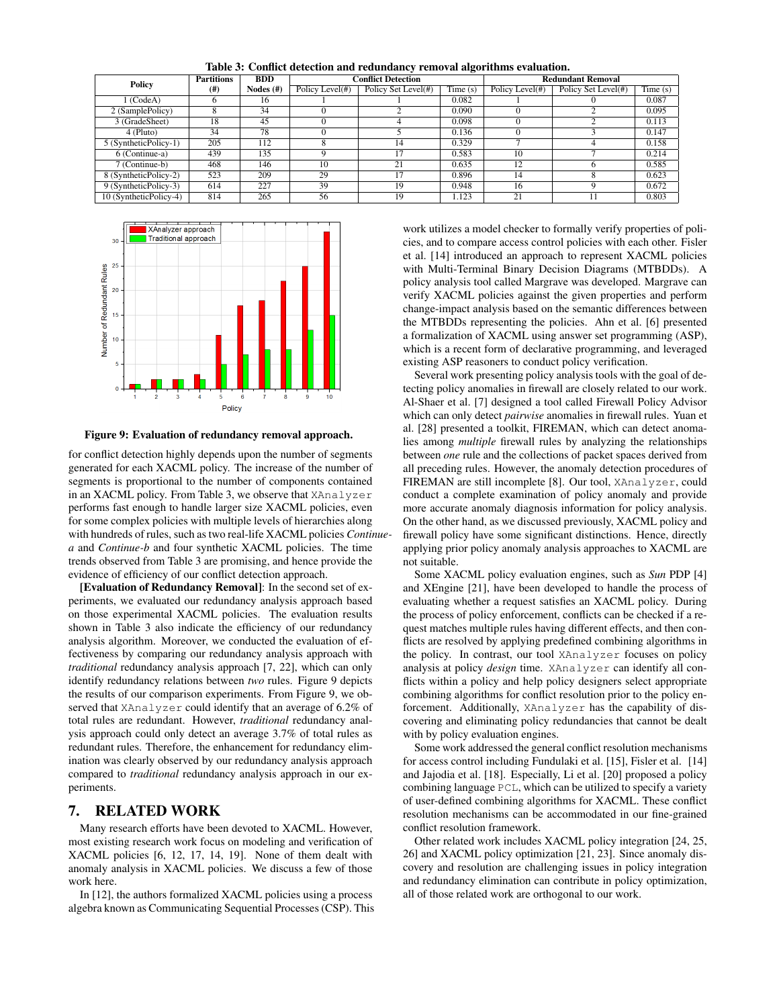| Policy                 | <b>Partitions</b> | <b>BDD</b>   | <b>Conflict Detection</b> |                     |         | <b>Redundant Removal</b> |                     |         |  |
|------------------------|-------------------|--------------|---------------------------|---------------------|---------|--------------------------|---------------------|---------|--|
|                        | (# )              | Nodes $(\#)$ | Policy Level(#)           | Policy Set Level(#) | Time(s) | Policy Level(#)          | Policy Set Level(#) | Time(s) |  |
| $1$ (CodeA)            |                   | 16           |                           |                     | 0.082   |                          |                     | 0.087   |  |
| 2 (SamplePolicy)       |                   | 34           |                           |                     | 0.090   |                          |                     | 0.095   |  |
| 3 (GradeSheet)         | 18                | 45           |                           |                     | 0.098   |                          |                     | 0.113   |  |
| 4 (Pluto)              | 34                | 78           |                           |                     | 0.136   |                          |                     | 0.147   |  |
| 5 (SyntheticPolicy-1)  | 205               | 112          |                           | 14                  | 0.329   |                          |                     | 0.158   |  |
| 6 (Continue-a)         | 439               | 135          |                           |                     | 0.583   | 10                       |                     | 0.214   |  |
| 7 (Continue-b)         | 468               | 146          | 10                        | 21                  | 0.635   | 12                       | h                   | 0.585   |  |
| 8 (SyntheticPolicy-2)  | 523               | 209          | 29                        |                     | 0.896   | 14                       |                     | 0.623   |  |
| 9 (SyntheticPolicy-3)  | 614               | 227          | 39                        | 19                  | 0.948   | 16                       | Q                   | 0.672   |  |
| 10 (SyntheticPolicy-4) | 814               | 265          | 56                        | 19                  | 1.123   | 21                       | 11                  | 0.803   |  |

**Table 3: Conflict detection and redundancy removal algorithms evaluation.**



#### **Figure 9: Evaluation of redundancy removal approach.**

for conflict detection highly depends upon the number of segments generated for each XACML policy. The increase of the number of segments is proportional to the number of components contained in an XACML policy. From Table 3, we observe that XAnalyzer performs fast enough to handle larger size XACML policies, even for some complex policies with multiple levels of hierarchies along with hundreds of rules, such as two real-life XACML policies *Continuea* and *Continue-b* and four synthetic XACML policies. The time trends observed from Table 3 are promising, and hence provide the evidence of efficiency of our conflict detection approach.

**[Evaluation of Redundancy Removal]**: In the second set of experiments, we evaluated our redundancy analysis approach based on those experimental XACML policies. The evaluation results shown in Table 3 also indicate the efficiency of our redundancy analysis algorithm. Moreover, we conducted the evaluation of effectiveness by comparing our redundancy analysis approach with *traditional* redundancy analysis approach [7, 22], which can only identify redundancy relations between *two* rules. Figure 9 depicts the results of our comparison experiments. From Figure 9, we observed that XAnalyzer could identify that an average of 6.2% of total rules are redundant. However, *traditional* redundancy analysis approach could only detect an average 3.7% of total rules as redundant rules. Therefore, the enhancement for redundancy elimination was clearly observed by our redundancy analysis approach compared to *traditional* redundancy analysis approach in our experiments.

# **7. RELATED WORK**

Many research efforts have been devoted to XACML. However, most existing research work focus on modeling and verification of XACML policies [6, 12, 17, 14, 19]. None of them dealt with anomaly analysis in XACML policies. We discuss a few of those work here.

In [12], the authors formalized XACML policies using a process algebra known as Communicating Sequential Processes (CSP). This work utilizes a model checker to formally verify properties of policies, and to compare access control policies with each other. Fisler et al. [14] introduced an approach to represent XACML policies with Multi-Terminal Binary Decision Diagrams (MTBDDs). A policy analysis tool called Margrave was developed. Margrave can verify XACML policies against the given properties and perform change-impact analysis based on the semantic differences between the MTBDDs representing the policies. Ahn et al. [6] presented a formalization of XACML using answer set programming (ASP), which is a recent form of declarative programming, and leveraged existing ASP reasoners to conduct policy verification.

Several work presenting policy analysis tools with the goal of detecting policy anomalies in firewall are closely related to our work. Al-Shaer et al. [7] designed a tool called Firewall Policy Advisor which can only detect *pairwise* anomalies in firewall rules. Yuan et al. [28] presented a toolkit, FIREMAN, which can detect anomalies among *multiple* firewall rules by analyzing the relationships between *one* rule and the collections of packet spaces derived from all preceding rules. However, the anomaly detection procedures of FIREMAN are still incomplete [8]. Our tool, XAnalyzer, could conduct a complete examination of policy anomaly and provide more accurate anomaly diagnosis information for policy analysis. On the other hand, as we discussed previously, XACML policy and firewall policy have some significant distinctions. Hence, directly applying prior policy anomaly analysis approaches to XACML are not suitable.

Some XACML policy evaluation engines, such as *Sun* PDP [4] and XEngine [21], have been developed to handle the process of evaluating whether a request satisfies an XACML policy. During the process of policy enforcement, conflicts can be checked if a request matches multiple rules having different effects, and then conflicts are resolved by applying predefined combining algorithms in the policy. In contrast, our tool XAnalyzer focuses on policy analysis at policy *design* time. XAnalyzer can identify all conflicts within a policy and help policy designers select appropriate combining algorithms for conflict resolution prior to the policy enforcement. Additionally, XAnalyzer has the capability of discovering and eliminating policy redundancies that cannot be dealt with by policy evaluation engines.

Some work addressed the general conflict resolution mechanisms for access control including Fundulaki et al. [15], Fisler et al. [14] and Jajodia et al. [18]. Especially, Li et al. [20] proposed a policy combining language PCL, which can be utilized to specify a variety of user-defined combining algorithms for XACML. These conflict resolution mechanisms can be accommodated in our fine-grained conflict resolution framework.

Other related work includes XACML policy integration [24, 25, 26] and XACML policy optimization [21, 23]. Since anomaly discovery and resolution are challenging issues in policy integration and redundancy elimination can contribute in policy optimization, all of those related work are orthogonal to our work.